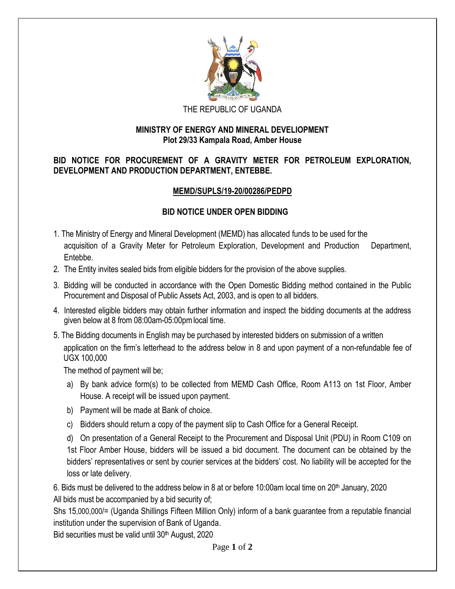

#### THE REPUBLIC OF UGANDA

### **MINISTRY OF ENERGY AND MINERAL DEVELIOPMENT Plot 29/33 Kampala Road, Amber House**

# **BID NOTICE FOR PROCUREMENT OF A GRAVITY METER FOR PETROLEUM EXPLORATION, DEVELOPMENT AND PRODUCTION DEPARTMENT, ENTEBBE.**

# **MEMD/SUPLS/19-20/00286/PEDPD**

# **BID NOTICE UNDER OPEN BIDDING**

- 1. The Ministry of Energy and Mineral Development (MEMD) has allocated funds to be used for the acquisition of a Gravity Meter for Petroleum Exploration, Development and Production Department, Entebbe.
- 2. The Entity invites sealed bids from eligible bidders for the provision of the above supplies.
- 3. Bidding will be conducted in accordance with the Open Domestic Bidding method contained in the Public Procurement and Disposal of Public Assets Act, 2003, and is open to all bidders.
- 4. Interested eligible bidders may obtain further information and inspect the bidding documents at the address given below at 8 from 08:00am-05:00pmlocal time.
- 5. The Bidding documents in English may be purchased by interested bidders on submission of a written application on the firm's letterhead to the address below in 8 and upon payment of a non-refundable fee of UGX 100,000

The method of payment will be;

- a) By bank advice form(s) to be collected from MEMD Cash Office, Room A113 on 1st Floor, Amber House. A receipt will be issued upon payment.
- b) Payment will be made at Bank of choice.
- c) Bidders should return a copy of the payment slip to Cash Office for a General Receipt.
- d) On presentation of a General Receipt to the Procurement and Disposal Unit (PDU) in Room C109 on 1st Floor Amber House, bidders will be issued a bid document. The document can be obtained by the bidders' representatives or sent by courier services at the bidders' cost. No liability will be accepted for the loss or late delivery.

6. Bids must be delivered to the address below in 8 at or before 10:00am local time on 20<sup>th</sup> January, 2020 All bids must be accompanied by a bid security of;

Shs 15,000,000/= (Uganda Shillings Fifteen Million Only) inform of a bank guarantee from a reputable financial institution under the supervision of Bank of Uganda.

Bid securities must be valid until 30<sup>th</sup> August, 2020

Page **1** of **2**